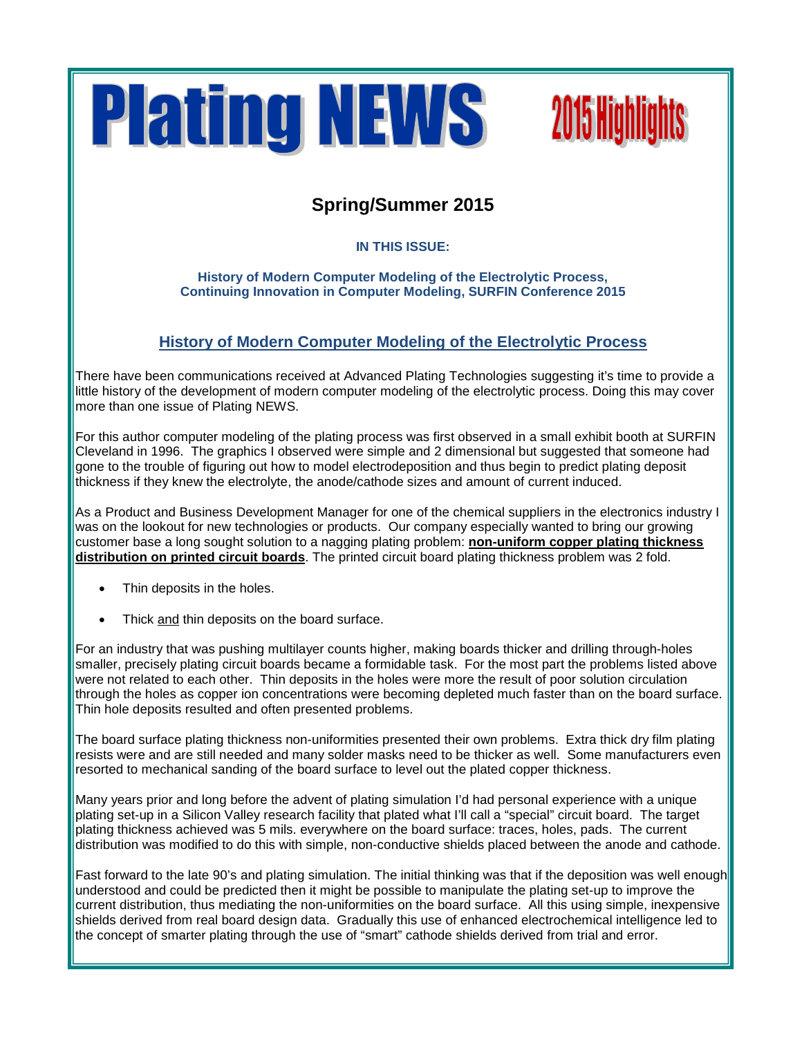



## **Spring/Summer 2015**

**IN THIS ISSUE:**

**History of Modern Computer Modeling of the Electrolytic Process, Continuing Innovation in Computer Modeling, SURFIN Conference 2015**

## **History of Modern Computer Modeling of the Electrolytic Process**

There have been communications received at Advanced Plating Technologies suggesting it's time to provide a little history of the development of modern computer modeling of the electrolytic process. Doing this may cover more than one issue of Plating NEWS.

For this author computer modeling of the plating process was first observed in a small exhibit booth at SURFIN Cleveland in 1996. The graphics I observed were simple and 2 dimensional but suggested that someone had gone to the trouble of figuring out how to model electrodeposition and thus begin to predict plating deposit thickness if they knew the electrolyte, the anode/cathode sizes and amount of current induced.

As a Product and Business Development Manager for one of the chemical suppliers in the electronics industry I was on the lookout for new technologies or products. Our company especially wanted to bring our growing customer base a long sought solution to a nagging plating problem: **non-uniform copper plating thickness distribution on printed circuit boards**. The printed circuit board plating thickness problem was 2 fold.

- Thin deposits in the holes.
- Thick and thin deposits on the board surface.

For an industry that was pushing multilayer counts higher, making boards thicker and drilling through-holes smaller, precisely plating circuit boards became a formidable task. For the most part the problems listed above were not related to each other. Thin deposits in the holes were more the result of poor solution circulation through the holes as copper ion concentrations were becoming depleted much faster than on the board surface. Thin hole deposits resulted and often presented problems.

The board surface plating thickness non-uniformities presented their own problems. Extra thick dry film plating resists were and are still needed and many solder masks need to be thicker as well. Some manufacturers even resorted to mechanical sanding of the board surface to level out the plated copper thickness.

Many years prior and long before the advent of plating simulation I'd had personal experience with a unique plating set-up in a Silicon Valley research facility that plated what I'll call a "special" circuit board. The target plating thickness achieved was 5 mils. everywhere on the board surface: traces, holes, pads. The current distribution was modified to do this with simple, non-conductive shields placed between the anode and cathode.

Fast forward to the late 90's and plating simulation. The initial thinking was that if the deposition was well enough understood and could be predicted then it might be possible to manipulate the plating set-up to improve the current distribution, thus mediating the non-uniformities on the board surface. All this using simple, inexpensive shields derived from real board design data. Gradually this use of enhanced electrochemical intelligence led to the concept of smarter plating through the use of "smart" cathode shields derived from trial and error.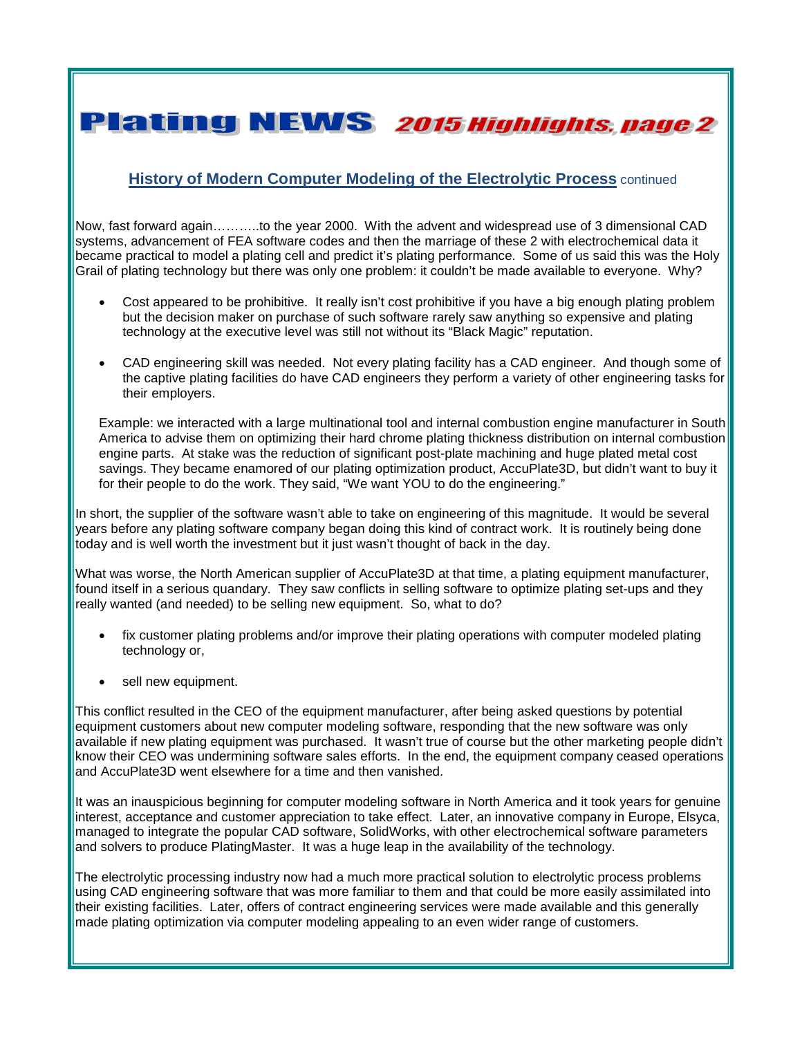**Plating NEWS 2015 Highlights, page 2** 

#### **History of Modern Computer Modeling of the Electrolytic Process** continued

Now, fast forward again………..to the year 2000. With the advent and widespread use of 3 dimensional CAD systems, advancement of FEA software codes and then the marriage of these 2 with electrochemical data it became practical to model a plating cell and predict it's plating performance. Some of us said this was the Holy Grail of plating technology but there was only one problem: it couldn't be made available to everyone. Why?

- Cost appeared to be prohibitive. It really isn't cost prohibitive if you have a big enough plating problem but the decision maker on purchase of such software rarely saw anything so expensive and plating technology at the executive level was still not without its "Black Magic" reputation.
- CAD engineering skill was needed. Not every plating facility has a CAD engineer. And though some of the captive plating facilities do have CAD engineers they perform a variety of other engineering tasks for their employers.

Example: we interacted with a large multinational tool and internal combustion engine manufacturer in South America to advise them on optimizing their hard chrome plating thickness distribution on internal combustion engine parts. At stake was the reduction of significant post-plate machining and huge plated metal cost savings. They became enamored of our plating optimization product, AccuPlate3D, but didn't want to buy it for their people to do the work. They said, "We want YOU to do the engineering."

In short, the supplier of the software wasn't able to take on engineering of this magnitude. It would be several years before any plating software company began doing this kind of contract work. It is routinely being done today and is well worth the investment but it just wasn't thought of back in the day.

What was worse, the North American supplier of AccuPlate3D at that time, a plating equipment manufacturer, found itself in a serious quandary. They saw conflicts in selling software to optimize plating set-ups and they really wanted (and needed) to be selling new equipment. So, what to do?

- fix customer plating problems and/or improve their plating operations with computer modeled plating technology or,
- sell new equipment.

This conflict resulted in the CEO of the equipment manufacturer, after being asked questions by potential equipment customers about new computer modeling software, responding that the new software was only available if new plating equipment was purchased. It wasn't true of course but the other marketing people didn't know their CEO was undermining software sales efforts. In the end, the equipment company ceased operations and AccuPlate3D went elsewhere for a time and then vanished.

It was an inauspicious beginning for computer modeling software in North America and it took years for genuine interest, acceptance and customer appreciation to take effect. Later, an innovative company in Europe, Elsyca, managed to integrate the popular CAD software, SolidWorks, with other electrochemical software parameters and solvers to produce PlatingMaster. It was a huge leap in the availability of the technology.

The electrolytic processing industry now had a much more practical solution to electrolytic process problems using CAD engineering software that was more familiar to them and that could be more easily assimilated into their existing facilities. Later, offers of contract engineering services were made available and this generally made plating optimization via computer modeling appealing to an even wider range of customers.